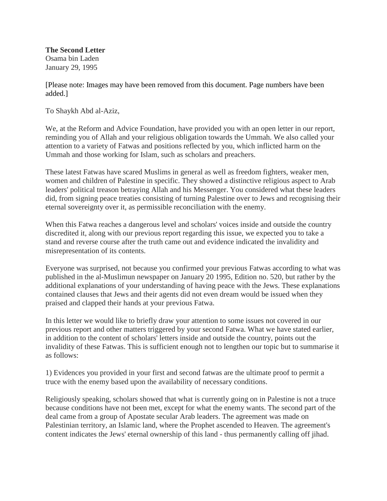**The Second Letter** Osama bin Laden January 29, 1995

[Please note: Images may have been removed from this document. Page numbers have been added.]

To Shaykh Abd al-Aziz,

We, at the Reform and Advice Foundation, have provided you with an open letter in our report, reminding you of Allah and your religious obligation towards the Ummah. We also called your attention to a variety of Fatwas and positions reflected by you, which inflicted harm on the Ummah and those working for Islam, such as scholars and preachers.

These latest Fatwas have scared Muslims in general as well as freedom fighters, weaker men, women and children of Palestine in specific. They showed a distinctive religious aspect to Arab leaders' political treason betraying Allah and his Messenger. You considered what these leaders did, from signing peace treaties consisting of turning Palestine over to Jews and recognising their eternal sovereignty over it, as permissible reconciliation with the enemy.

When this Fatwa reaches a dangerous level and scholars' voices inside and outside the country discredited it, along with our previous report regarding this issue, we expected you to take a stand and reverse course after the truth came out and evidence indicated the invalidity and misrepresentation of its contents.

Everyone was surprised, not because you confirmed your previous Fatwas according to what was published in the al-Muslimun newspaper on January 20 1995, Edition no. 520, but rather by the additional explanations of your understanding of having peace with the Jews. These explanations contained clauses that Jews and their agents did not even dream would be issued when they praised and clapped their hands at your previous Fatwa.

In this letter we would like to briefly draw your attention to some issues not covered in our previous report and other matters triggered by your second Fatwa. What we have stated earlier, in addition to the content of scholars' letters inside and outside the country, points out the invalidity of these Fatwas. This is sufficient enough not to lengthen our topic but to summarise it as follows:

1) Evidences you provided in your first and second fatwas are the ultimate proof to permit a truce with the enemy based upon the availability of necessary conditions.

Religiously speaking, scholars showed that what is currently going on in Palestine is not a truce because conditions have not been met, except for what the enemy wants. The second part of the deal came from a group of Apostate secular Arab leaders. The agreement was made on Palestinian territory, an Islamic land, where the Prophet ascended to Heaven. The agreement's content indicates the Jews' eternal ownership of this land - thus permanently calling off jihad.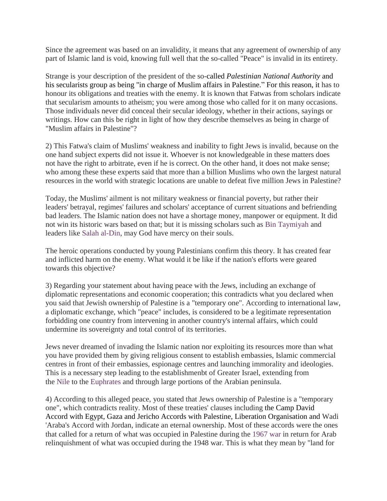Since the agreement was based on an invalidity, it means that any agreement of ownership of any part of Islamic land is void, knowing full well that the so-called "Peace" is invalid in its entirety.

Strange is your description of the president of the so-called *Palestinian National Authority* and his secularists group as being "in charge of Muslim affairs in Palestine." For this reason, it has to honour its obligations and treaties with the enemy. It is known that Fatwas from scholars indicate that secularism amounts to atheism; you were among those who called for it on many occasions. Those individuals never did conceal their secular ideology, whether in their actions, sayings or writings. How can this be right in light of how they describe themselves as being in charge of "Muslim affairs in Palestine"?

2) This Fatwa's claim of Muslims' weakness and inability to fight Jews is invalid, because on the one hand subject experts did not issue it. Whoever is not knowledgeable in these matters does not have the right to arbitrate, even if he is correct. On the other hand, it does not make sense; who among these these experts said that more than a billion Muslims who own the largest natural resources in the world with strategic locations are unable to defeat five million Jews in Palestine?

Today, the Muslims' ailment is not military weakness or financial poverty, but rather their leaders' betrayal, regimes' failures and scholars' acceptance of current situations and befriending bad leaders. The Islamic nation does not have a shortage money, manpower or equipment. It did not win its historic wars based on that; but it is missing scholars such as [Bin Taymiyah](http://en.wikipedia.org/wiki/Ibn_Taymiyah) and leaders like [Salah al-Din,](http://en.wikipedia.org/wiki/Saladin) may God have mercy on their souls.

The heroic operations conducted by young Palestinians confirm this theory. It has created fear and inflicted harm on the enemy. What would it be like if the nation's efforts were geared towards this objective?

3) Regarding your statement about having peace with the Jews, including an exchange of diplomatic representations and economic cooperation; this contradicts what you declared when you said that Jewish ownership of Palestine is a "temporary one". According to international law, a diplomatic exchange, which "peace" includes, is considered to be a legitimate representation forbidding one country from intervening in another country's internal affairs, which could undermine its sovereignty and total control of its territories.

Jews never dreamed of invading the Islamic nation nor exploiting its resources more than what you have provided them by giving religious consent to establish embassies, Islamic commercial centres in front of their embassies, espionage centres and launching immorality and ideologies. This is a necessary step leading to the establishmenbt of Greater Israel, extending from the [Nile](http://en.wikipedia.org/wiki/Nile) to the [Euphrates](http://en.wikipedia.org/wiki/Euphrates) and through large portions of the Arabian peninsula.

4) According to this alleged peace, you stated that Jews ownership of Palestine is a "temporary one", which contradicts reality. Most of these treaties' clauses including the Camp David Accord with Egypt, Gaza and Jericho Accords with Palestine, Liberation Organisation and Wadi 'Araba's Accord with Jordan, indicate an eternal ownership. Most of these accords were the ones that called for a return of what was occupied in Palestine during the [1967 war](http://en.wikipedia.org/wiki/1967_War) in return for Arab relinquishment of what was occupied during the 1948 war. This is what they mean by "land for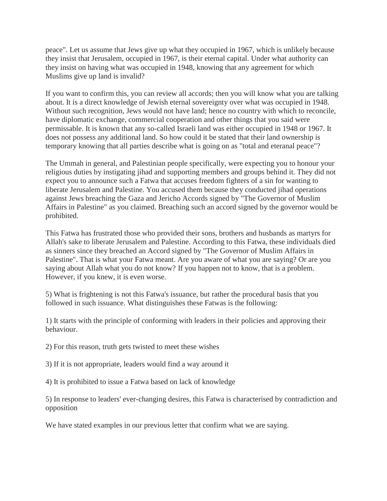peace". Let us assume that Jews give up what they occupied in 1967, which is unlikely because they insist that Jerusalem, occupied in 1967, is their eternal capital. Under what authority can they insist on having what was occupied in 1948, knowing that any agreement for which Muslims give up land is invalid?

If you want to confirm this, you can review all accords; then you will know what you are talking about. It is a direct knowledge of Jewish eternal sovereignty over what was occupied in 1948. Without such recognition, Jews would not have land; hence no country with which to reconcile, have diplomatic exchange, commercial cooperation and other things that you said were permissable. It is known that any so-called Israeli land was either occupied in 1948 or 1967. It does not possess any additional land. So how could it be stated that their land ownership is temporary knowing that all parties describe what is going on as "total and eteranal peace"?

The Ummah in general, and Palestinian people specifically, were expecting you to honour your religious duties by instigating jihad and supporting members and groups behind it. They did not expect you to announce such a Fatwa that accuses freedom fighters of a sin for wanting to liberate Jerusalem and Palestine. You accused them because they conducted jihad operations against Jews breaching the Gaza and Jericho Accords signed by "The Governor of Muslim Affairs in Palestine" as you claimed. Breaching such an accord signed by the governor would be prohibited.

This Fatwa has frustrated those who provided their sons, brothers and husbands as martyrs for Allah's sake to liberate Jerusalem and Palestine. According to this Fatwa, these individuals died as sinners since they breached an Accord signed by "The Governor of Muslim Affairs in Palestine". That is what your Fatwa meant. Are you aware of what you are saying? Or are you saying about Allah what you do not know? If you happen not to know, that is a problem. However, if you knew, it is even worse.

5) What is frightening is not this Fatwa's issuance, but rather the procedural basis that you followed in such issuance. What distinguishes these Fatwas is the following:

1) It starts with the principle of conforming with leaders in their policies and approving their behaviour.

2) For this reason, truth gets twisted to meet these wishes

3) If it is not appropriate, leaders would find a way around it

4) It is prohibited to issue a Fatwa based on lack of knowledge

5) In response to leaders' ever-changing desires, this Fatwa is characterised by contradiction and opposition

We have stated examples in our previous letter that confirm what we are saying.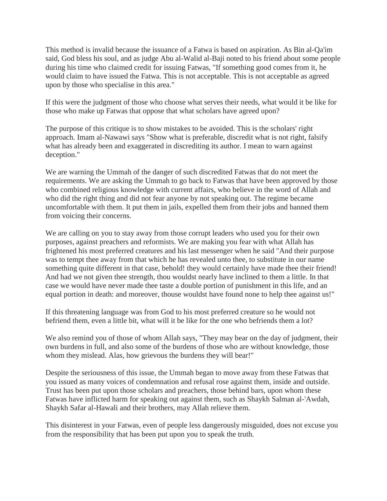This method is invalid because the issuance of a Fatwa is based on aspiration. As Bin al-Qa'im said, God bless his soul, and as judge Abu al-Walid al-Baji noted to his friend about some people during his time who claimed credit for issuing Fatwas, "If something good comes from it, he would claim to have issued the Fatwa. This is not acceptable. This is not acceptable as agreed upon by those who specialise in this area."

If this were the judgment of those who choose what serves their needs, what would it be like for those who make up Fatwas that oppose that what scholars have agreed upon?

The purpose of this critique is to show mistakes to be avoided. This is the scholars' right approach. Imam al-Nawawi says "Show what is preferable, discredit what is not right, falsify what has already been and exaggerated in discrediting its author. I mean to warn against deception."

We are warning the Ummah of the danger of such discredited Fatwas that do not meet the requirements. We are asking the Ummah to go back to Fatwas that have been approved by those who combined religious knowledge with current affairs, who believe in the word of Allah and who did the right thing and did not fear anyone by not speaking out. The regime became uncomfortable with them. It put them in jails, expelled them from their jobs and banned them from voicing their concerns.

We are calling on you to stay away from those corrupt leaders who used you for their own purposes, against preachers and reformists. We are making you fear with what Allah has frightened his most preferred creatures and his last messenger when he said "And their purpose was to tempt thee away from that which he has revealed unto thee, to substitute in our name something quite different in that case, behold! they would certainly have made thee their friend! And had we not given thee strength, thou wouldst nearly have inclined to them a little. In that case we would have never made thee taste a double portion of punishment in this life, and an equal portion in death: and moreover, thouse wouldst have found none to help thee against us!"

If this threatening language was from God to his most preferred creature so he would not befriend them, even a little bit, what will it be like for the one who befriends them a lot?

We also remind you of those of whom Allah says, "They may bear on the day of judgment, their own burdens in full, and also some of the burdens of those who are without knowledge, those whom they mislead. Alas, how grievous the burdens they will bear!"

Despite the seriousness of this issue, the Ummah began to move away from these Fatwas that you issued as many voices of condemnation and refusal rose against them, inside and outside. Trust has been put upon those scholars and preachers, those behind bars, upon whom these Fatwas have inflicted harm for speaking out against them, such as Shaykh Salman al-'Awdah, Shaykh Safar al-Hawali and their brothers, may Allah relieve them.

This disinterest in your Fatwas, even of people less dangerously misguided, does not excuse you from the responsibility that has been put upon you to speak the truth.